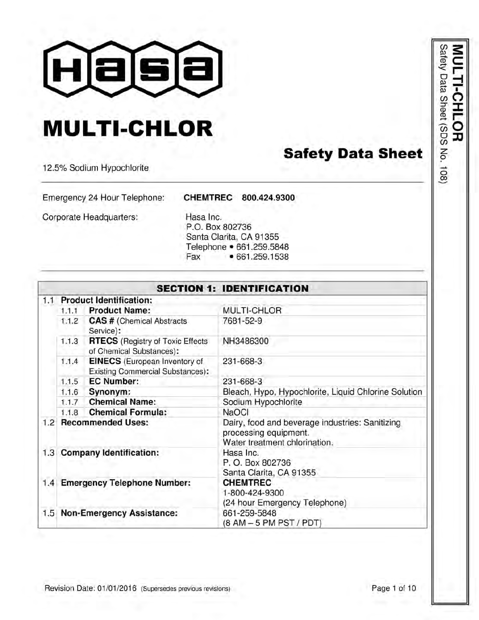

# **MULTI-CHLOR**

# **Safety Data Sheet**

12.5% Sodium Hypochlorite

Emergency 24 Hour Telephone:

CHEMTREC 800.424.9300

Corporate Headquarters:

Hasa Inc. P.O. Box 802736 Santa Clarita, CA 91355 Telephone • 661.259.5848 Fax • 661.259.1538

|     |       |                                                                                 | <b>SECTION 1: IDENTIFICATION</b>                                                                          |
|-----|-------|---------------------------------------------------------------------------------|-----------------------------------------------------------------------------------------------------------|
| 1.1 |       | <b>Product Identification:</b>                                                  |                                                                                                           |
|     | 1.1.1 | <b>Product Name:</b>                                                            | <b>MULTI-CHLOR</b>                                                                                        |
|     | 1.1.2 | <b>CAS # (Chemical Abstracts</b><br>Service):                                   | 7681-52-9                                                                                                 |
|     | 1.1.3 | <b>RTECS</b> (Registry of Toxic Effects<br>of Chemical Substances):             | NH3486300                                                                                                 |
|     | 1.1.4 | <b>EINECS</b> (European Inventory of<br><b>Existing Commercial Substances):</b> | 231-668-3                                                                                                 |
|     | 1.1.5 | <b>EC Number:</b>                                                               | 231-668-3                                                                                                 |
|     | 1.1.6 | Synonym:                                                                        | Bleach, Hypo, Hypochlorite, Liquid Chlorine Solution                                                      |
|     | 1.1.7 | <b>Chemical Name:</b>                                                           | Sodium Hypochlorite                                                                                       |
|     | 1.1.8 | <b>Chemical Formula:</b>                                                        | <b>NaOCI</b>                                                                                              |
| 1.2 |       | <b>Recommended Uses:</b>                                                        | Dairy, food and beverage industries: Sanitizing<br>processing equipment.<br>Water treatment chlorination. |
|     |       | 1.3 Company Identification:                                                     | Hasa Inc.<br>P.O. Box 802736<br>Santa Clarita, CA 91355                                                   |
|     |       | 1.4 Emergency Telephone Number:                                                 | <b>CHEMTREC</b><br>1-800-424-9300<br>(24 hour Emergency Telephone)                                        |
|     |       | 1.5 Non-Emergency Assistance:                                                   | 661-259-5848<br>(8 AM - 5 PM PST / PDT)                                                                   |

Revision Date: 01/01/2016 (Supersedes previous revisions)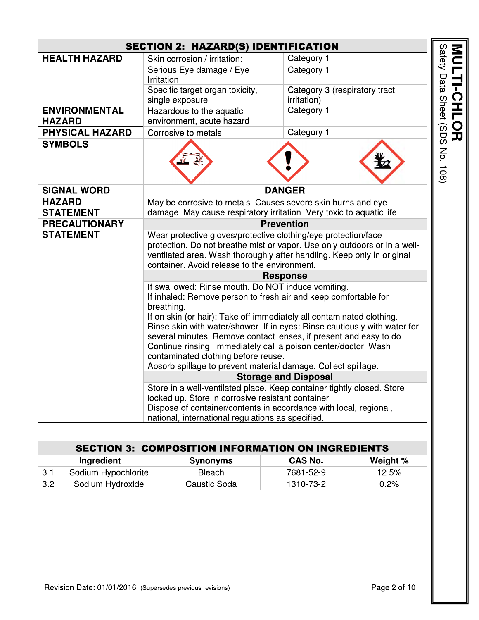|                                       | <b>SECTION 2: HAZARD(S) IDENTIFICATION</b>                                                                                                                                                                                                                            |  |                             |                               |                                 |
|---------------------------------------|-----------------------------------------------------------------------------------------------------------------------------------------------------------------------------------------------------------------------------------------------------------------------|--|-----------------------------|-------------------------------|---------------------------------|
| <b>HEALTH HAZARD</b>                  | Skin corrosion / irritation:                                                                                                                                                                                                                                          |  | Category 1                  |                               |                                 |
|                                       | Serious Eye damage / Eye<br>Irritation                                                                                                                                                                                                                                |  | Category 1                  |                               |                                 |
|                                       | Specific target organ toxicity,<br>single exposure                                                                                                                                                                                                                    |  | irritation)                 | Category 3 (respiratory tract |                                 |
| <b>ENVIRONMENTAL</b><br><b>HAZARD</b> | Hazardous to the aquatic<br>environment, acute hazard                                                                                                                                                                                                                 |  | Category 1                  |                               | MULTI-CHLOR                     |
| <b>PHYSICAL HAZARD</b>                | Corrosive to metals.                                                                                                                                                                                                                                                  |  | Category 1                  |                               |                                 |
| <b>SYMBOLS</b>                        |                                                                                                                                                                                                                                                                       |  |                             |                               | Safety Data Sheet (SDS No. 108) |
| <b>SIGNAL WORD</b>                    |                                                                                                                                                                                                                                                                       |  | <b>DANGER</b>               |                               |                                 |
| <b>HAZARD</b>                         | May be corrosive to metals. Causes severe skin burns and eye                                                                                                                                                                                                          |  |                             |                               |                                 |
| <b>STATEMENT</b>                      | damage. May cause respiratory irritation. Very toxic to aquatic life.                                                                                                                                                                                                 |  |                             |                               |                                 |
| <b>PRECAUTIONARY</b>                  | <b>Prevention</b>                                                                                                                                                                                                                                                     |  |                             |                               |                                 |
| <b>STATEMENT</b>                      | Wear protective gloves/protective clothing/eye protection/face<br>protection. Do not breathe mist or vapor. Use only outdoors or in a well-<br>ventilated area. Wash thoroughly after handling. Keep only in original<br>container. Avoid release to the environment. |  |                             |                               |                                 |
|                                       |                                                                                                                                                                                                                                                                       |  | <b>Response</b>             |                               |                                 |
|                                       | If swallowed: Rinse mouth. Do NOT induce vomiting.<br>If inhaled: Remove person to fresh air and keep comfortable for<br>breathing.<br>If on skin (or hair): Take off immediately all contaminated clothing.                                                          |  |                             |                               |                                 |
|                                       | Rinse skin with water/shower. If in eyes: Rinse cautiously with water for                                                                                                                                                                                             |  |                             |                               |                                 |
|                                       | several minutes. Remove contact lenses, if present and easy to do.                                                                                                                                                                                                    |  |                             |                               |                                 |
|                                       | Continue rinsing. Immediately call a poison center/doctor. Wash                                                                                                                                                                                                       |  |                             |                               |                                 |
|                                       | contaminated clothing before reuse.<br>Absorb spillage to prevent material damage. Collect spillage.                                                                                                                                                                  |  |                             |                               |                                 |
|                                       |                                                                                                                                                                                                                                                                       |  | <b>Storage and Disposal</b> |                               |                                 |
|                                       | Store in a well-ventilated place. Keep container tightly closed. Store                                                                                                                                                                                                |  |                             |                               |                                 |
|                                       | locked up. Store in corrosive resistant container.                                                                                                                                                                                                                    |  |                             |                               |                                 |
|                                       | Dispose of container/contents in accordance with local, regional,                                                                                                                                                                                                     |  |                             |                               |                                 |
|                                       | national, international regulations as specified.                                                                                                                                                                                                                     |  |                             |                               |                                 |

|     | <b>SECTION 3: COMPOSITION INFORMATION ON INGREDIENTS</b>    |              |           |       |  |  |
|-----|-------------------------------------------------------------|--------------|-----------|-------|--|--|
|     | Weight %<br><b>CAS No.</b><br>Ingredient<br><b>Synonyms</b> |              |           |       |  |  |
| 3.1 | Sodium Hypochlorite                                         | Bleach       | 7681-52-9 | 12.5% |  |  |
| 3.2 | Sodium Hydroxide                                            | Caustic Soda | 1310-73-2 | 0.2%  |  |  |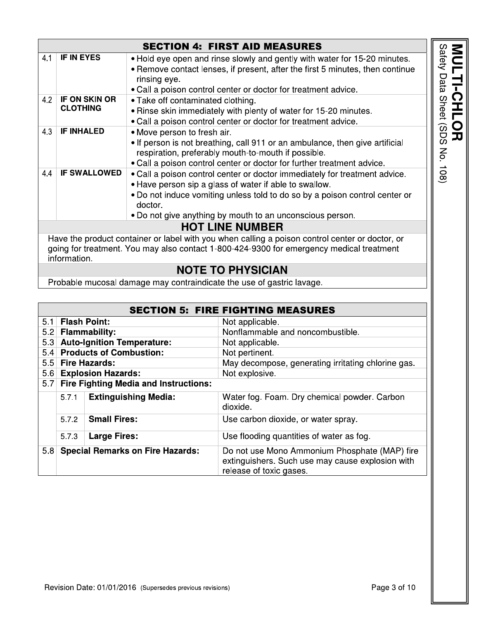|     |                                         | <b>SECTION 4: FIRST AID MEASURES</b>                                                                                                                                                                                                                                                        |
|-----|-----------------------------------------|---------------------------------------------------------------------------------------------------------------------------------------------------------------------------------------------------------------------------------------------------------------------------------------------|
| 4.1 | <b>IF IN EYES</b>                       | . Hold eye open and rinse slowly and gently with water for 15-20 minutes.<br>• Remove contact lenses, if present, after the first 5 minutes, then continue<br>rinsing eye.                                                                                                                  |
|     |                                         | • Call a poison control center or doctor for treatment advice.                                                                                                                                                                                                                              |
| 4.2 | <b>IF ON SKIN OR</b><br><b>CLOTHING</b> | • Take off contaminated clothing.<br>• Rinse skin immediately with plenty of water for 15-20 minutes.<br>• Call a poison control center or doctor for treatment advice.                                                                                                                     |
| 4.3 | <b>IF INHALED</b>                       | • Move person to fresh air.<br>• If person is not breathing, call 911 or an ambulance, then give artificial<br>respiration, preferably mouth-to-mouth if possible.<br>. Call a poison control center or doctor for further treatment advice.                                                |
| 4.4 | <b>IF SWALLOWED</b>                     | • Call a poison control center or doctor immediately for treatment advice.<br>• Have person sip a glass of water if able to swallow.<br>• Do not induce vomiting unless told to do so by a poison control center or<br>doctor.<br>. Do not give anything by mouth to an unconscious person. |
|     |                                         | <b>HOT LINE NUMBER</b>                                                                                                                                                                                                                                                                      |
|     | information.                            | Have the product container or label with you when calling a poison control center or doctor, or<br>going for treatment. You may also contact 1-800-424-9300 for emergency medical treatment                                                                                                 |
|     |                                         | <b>NOTE TO PHYSICIAN</b>                                                                                                                                                                                                                                                                    |
|     | David Lateral Co                        |                                                                                                                                                                                                                                                                                             |

Probable mucosal damage may contraindicate the use of gastric lavage.

|                  |       |                                              | <b>SECTION 5: FIRE FIGHTING MEASURES</b>                                                                                     |
|------------------|-------|----------------------------------------------|------------------------------------------------------------------------------------------------------------------------------|
|                  |       | 5.1 Flash Point:                             | Not applicable.                                                                                                              |
| 5.2              |       | <b>Flammability:</b>                         | Nonflammable and noncombustible.                                                                                             |
| 5.3              |       | <b>Auto-Ignition Temperature:</b>            | Not applicable.                                                                                                              |
| 5.4              |       | <b>Products of Combustion:</b>               | Not pertinent.                                                                                                               |
| 5.5 <sup>1</sup> |       | <b>Fire Hazards:</b>                         | May decompose, generating irritating chlorine gas.                                                                           |
| 5.6              |       | <b>Explosion Hazards:</b>                    | Not explosive.                                                                                                               |
| 5.7              |       | <b>Fire Fighting Media and Instructions:</b> |                                                                                                                              |
|                  | 5.7.1 | <b>Extinguishing Media:</b>                  | Water fog. Foam. Dry chemical powder. Carbon<br>dioxide.                                                                     |
|                  | 5.7.2 | <b>Small Fires:</b>                          | Use carbon dioxide, or water spray.                                                                                          |
|                  | 5.7.3 | <b>Large Fires:</b>                          | Use flooding quantities of water as fog.                                                                                     |
| 5.8              |       | <b>Special Remarks on Fire Hazards:</b>      | Do not use Mono Ammonium Phosphate (MAP) fire<br>extinguishers. Such use may cause explosion with<br>release of toxic gases. |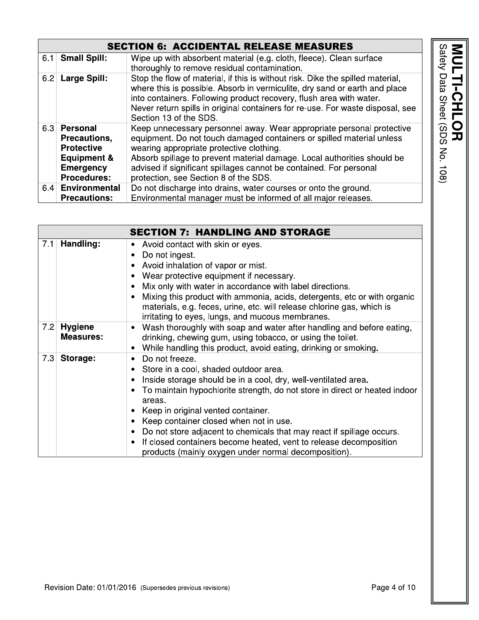| <b>Jallet</b><br>Udlu<br><b>DIIEEI</b><br>C<br>C<br>C<br>٦<br>י<br>?<br>? |
|---------------------------------------------------------------------------|
|                                                                           |

# **SECTION 6: ACCIDENTAL RELEASE MEASURES**

| 6.1 | <b>Small Spill:</b>                                                                                                   | Wipe up with absorbent material (e.g. cloth, fleece). Clean surface<br>thoroughly to remove residual contamination.                                                                                                                                                                                                                                                                  |
|-----|-----------------------------------------------------------------------------------------------------------------------|--------------------------------------------------------------------------------------------------------------------------------------------------------------------------------------------------------------------------------------------------------------------------------------------------------------------------------------------------------------------------------------|
| 6.2 | <b>Large Spill:</b>                                                                                                   | Stop the flow of material, if this is without risk. Dike the spilled material,<br>where this is possible. Absorb in vermiculite, dry sand or earth and place<br>into containers. Following product recovery, flush area with water.<br>Never return spills in original containers for re-use. For waste disposal, see<br>Section 13 of the SDS.                                      |
|     | 6.3 Personal<br>Precautions.<br><b>Protective</b><br><b>Equipment &amp;</b><br><b>Emergency</b><br><b>Procedures:</b> | Keep unnecessary personnel away. Wear appropriate personal protective<br>equipment. Do not touch damaged containers or spilled material unless<br>wearing appropriate protective clothing.<br>Absorb spillage to prevent material damage. Local authorities should be<br>advised if significant spillages cannot be contained. For personal<br>protection, see Section 8 of the SDS. |
| 6.4 | <b>Environmental</b>                                                                                                  | Do not discharge into drains, water courses or onto the ground.                                                                                                                                                                                                                                                                                                                      |
|     | <b>Precautions:</b>                                                                                                   | Environmental manager must be informed of all major releases.                                                                                                                                                                                                                                                                                                                        |

|     |                                    | <b>SECTION 7: HANDLING AND STORAGE</b>                                                                                                                                                                                                                                                                                                                                                                                                                                                                                                                        |
|-----|------------------------------------|---------------------------------------------------------------------------------------------------------------------------------------------------------------------------------------------------------------------------------------------------------------------------------------------------------------------------------------------------------------------------------------------------------------------------------------------------------------------------------------------------------------------------------------------------------------|
| 7.1 | Handling:                          | Avoid contact with skin or eyes.<br>٠<br>Do not ingest.<br>$\bullet$<br>Avoid inhalation of vapor or mist.<br>Wear protective equipment if necessary.<br>Mix only with water in accordance with label directions.<br>٠<br>Mixing this product with ammonia, acids, detergents, etc or with organic<br>materials, e.g. feces, urine, etc. will release chlorine gas, which is<br>irritating to eyes, lungs, and mucous membranes.                                                                                                                              |
| 7.2 | <b>Hygiene</b><br><b>Measures:</b> | Wash thoroughly with soap and water after handling and before eating,<br>$\bullet$<br>drinking, chewing gum, using tobacco, or using the toilet.<br>While handling this product, avoid eating, drinking or smoking.                                                                                                                                                                                                                                                                                                                                           |
| 7.3 | Storage:                           | Do not freeze.<br>$\bullet$<br>Store in a cool, shaded outdoor area.<br>٠<br>Inside storage should be in a cool, dry, well-ventilated area.<br>٠<br>To maintain hypochlorite strength, do not store in direct or heated indoor<br>areas.<br>Keep in original vented container.<br>Keep container closed when not in use.<br>٠<br>Do not store adjacent to chemicals that may react if spillage occurs.<br>$\bullet$<br>If closed containers become heated, vent to release decomposition<br>$\bullet$<br>products (mainly oxygen under normal decomposition). |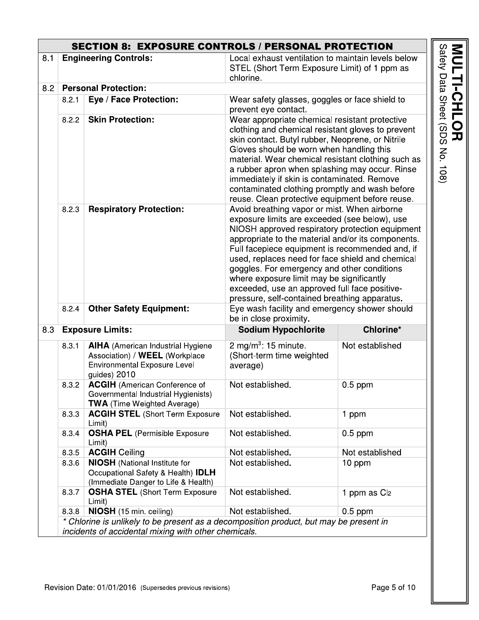|     | <b>SECTION 8: EXPOSURE CONTROLS / PERSONAL PROTECTION</b>                                                                                      |                                                                                                                            |                                                                                                                                                                                                                                                                                                                                                                                                                                                                                                             |                          |                                    |
|-----|------------------------------------------------------------------------------------------------------------------------------------------------|----------------------------------------------------------------------------------------------------------------------------|-------------------------------------------------------------------------------------------------------------------------------------------------------------------------------------------------------------------------------------------------------------------------------------------------------------------------------------------------------------------------------------------------------------------------------------------------------------------------------------------------------------|--------------------------|------------------------------------|
| 8.1 |                                                                                                                                                | <b>Engineering Controls:</b>                                                                                               | Local exhaust ventilation to maintain levels below<br>STEL (Short Term Exposure Limit) of 1 ppm as<br>chlorine.                                                                                                                                                                                                                                                                                                                                                                                             |                          |                                    |
| 8.2 | <b>Personal Protection:</b>                                                                                                                    |                                                                                                                            |                                                                                                                                                                                                                                                                                                                                                                                                                                                                                                             |                          |                                    |
|     | 8.2.1                                                                                                                                          | Eye / Face Protection:                                                                                                     | Wear safety glasses, goggles or face shield to<br>prevent eye contact.                                                                                                                                                                                                                                                                                                                                                                                                                                      |                          |                                    |
|     | 8.2.2                                                                                                                                          | <b>Skin Protection:</b>                                                                                                    | Wear appropriate chemical resistant protective<br>clothing and chemical resistant gloves to prevent<br>skin contact. Butyl rubber, Neoprene, or Nitrile<br>Gloves should be worn when handling this<br>material. Wear chemical resistant clothing such as<br>a rubber apron when splashing may occur. Rinse<br>immediately if skin is contaminated. Remove<br>contaminated clothing promptly and wash before<br>reuse. Clean protective equipment before reuse.                                             |                          | Safety Data Sheet (SDS<br>No. 108) |
|     | 8.2.3                                                                                                                                          | <b>Respiratory Protection:</b>                                                                                             | Avoid breathing vapor or mist. When airborne<br>exposure limits are exceeded (see below), use<br>NIOSH approved respiratory protection equipment<br>appropriate to the material and/or its components.<br>Full facepiece equipment is recommended and, if<br>used, replaces need for face shield and chemical<br>goggles. For emergency and other conditions<br>where exposure limit may be significantly<br>exceeded, use an approved full face positive-<br>pressure, self-contained breathing apparatus. |                          |                                    |
|     | 8.2.4                                                                                                                                          | <b>Other Safety Equipment:</b>                                                                                             | Eye wash facility and emergency shower should<br>be in close proximity.                                                                                                                                                                                                                                                                                                                                                                                                                                     |                          |                                    |
| 8.3 | <b>Exposure Limits:</b>                                                                                                                        |                                                                                                                            | <b>Sodium Hypochlorite</b>                                                                                                                                                                                                                                                                                                                                                                                                                                                                                  | Chlorine*                |                                    |
|     | 8.3.1                                                                                                                                          | <b>AIHA</b> (American Industrial Hygiene<br>Association) / WEEL (Workplace<br>Environmental Exposure Level<br>guides) 2010 | 2 mg/m <sup>3</sup> : 15 minute.<br>(Short-term time weighted<br>average)                                                                                                                                                                                                                                                                                                                                                                                                                                   | Not established          |                                    |
|     | 8.3.2                                                                                                                                          | <b>ACGIH</b> (American Conference of<br>Governmental Industrial Hygienists)<br><b>TWA</b> (Time Weighted Average)          | Not established.                                                                                                                                                                                                                                                                                                                                                                                                                                                                                            | $0.5$ ppm                |                                    |
|     | 8.3.3                                                                                                                                          | <b>ACGIH STEL (Short Term Exposure</b><br>Limit)                                                                           | Not established.                                                                                                                                                                                                                                                                                                                                                                                                                                                                                            | 1 ppm                    |                                    |
|     | 8.3.4                                                                                                                                          | <b>OSHA PEL (Permisible Exposure</b><br>Limit)                                                                             | Not established.                                                                                                                                                                                                                                                                                                                                                                                                                                                                                            | $0.5$ ppm                |                                    |
|     | 8.3.5                                                                                                                                          | <b>ACGIH Ceiling</b>                                                                                                       | Not established.                                                                                                                                                                                                                                                                                                                                                                                                                                                                                            | Not established          |                                    |
|     | 8.3.6                                                                                                                                          | <b>NIOSH</b> (National Institute for<br>Occupational Safety & Health) IDLH<br>(Immediate Danger to Life & Health)          | Not established.                                                                                                                                                                                                                                                                                                                                                                                                                                                                                            | 10 ppm                   |                                    |
|     | 8.3.7                                                                                                                                          | <b>OSHA STEL (Short Term Exposure</b><br>Limit)                                                                            | Not established.                                                                                                                                                                                                                                                                                                                                                                                                                                                                                            | 1 ppm as Cl <sub>2</sub> |                                    |
|     | 8.3.8                                                                                                                                          | <b>NIOSH</b> (15 min. ceiling)                                                                                             | Not established.                                                                                                                                                                                                                                                                                                                                                                                                                                                                                            | $0.5$ ppm                |                                    |
|     | * Chlorine is unlikely to be present as a decomposition product, but may be present in<br>incidents of accidental mixing with other chemicals. |                                                                                                                            |                                                                                                                                                                                                                                                                                                                                                                                                                                                                                                             |                          |                                    |

MULTI-CHLOR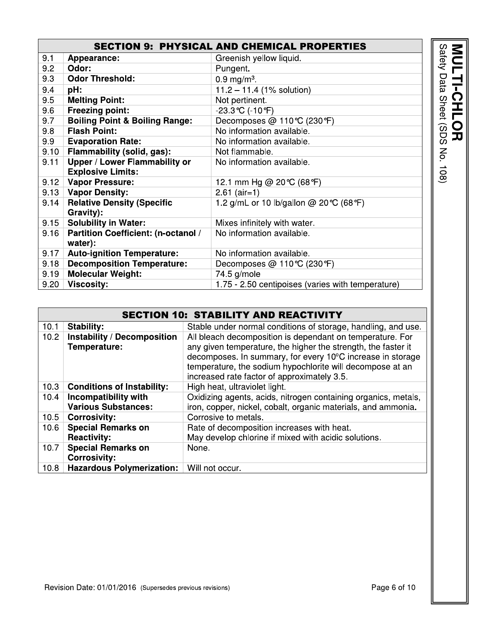|      |                                            | <b>SECTION 9: PHYSICAL AND CHEMICAL PROPERTIES</b> |
|------|--------------------------------------------|----------------------------------------------------|
| 9.1  | Appearance:                                | Greenish yellow liquid.                            |
| 9.2  | Odor:                                      | Pungent.                                           |
| 9.3  | <b>Odor Threshold:</b>                     | $0.9 \,\mathrm{mg/m^3}$ .                          |
| 9.4  | pH:                                        | $11.2 - 11.4$ (1% solution)                        |
| 9.5  | <b>Melting Point:</b>                      | Not pertinent.                                     |
| 9.6  | <b>Freezing point:</b>                     | $-23.3$ °C (-10°F)                                 |
| 9.7  | <b>Boiling Point &amp; Boiling Range:</b>  | Decomposes @ 110℃ (230°F)                          |
| 9.8  | <b>Flash Point:</b>                        | No information available.                          |
| 9.9  | <b>Evaporation Rate:</b>                   | No information available.                          |
| 9.10 | Flammability (solid, gas):                 | Not flammable.                                     |
| 9.11 | Upper / Lower Flammability or              | No information available.                          |
|      | <b>Explosive Limits:</b>                   |                                                    |
| 9.12 | <b>Vapor Pressure:</b>                     | 12.1 mm Hg @ 20 °C (68 °F)                         |
|      | 9.13   Vapor Density:                      | $2.61$ (air=1)                                     |
| 9.14 | <b>Relative Density (Specific</b>          | 1.2 g/mL or 10 lb/gallon @ 20 °C (68 °F)           |
|      | Gravity):                                  |                                                    |
| 9.15 | <b>Solubility in Water:</b>                | Mixes infinitely with water.                       |
| 9.16 | <b>Partition Coefficient: (n-octanol /</b> | No information available.                          |
|      | water):                                    |                                                    |
| 9.17 | <b>Auto-ignition Temperature:</b>          | No information available.                          |
| 9.18 | <b>Decomposition Temperature:</b>          | Decomposes @ 110 °C (230 °F)                       |
| 9.19 | <b>Molecular Weight:</b>                   | 74.5 g/mole                                        |
| 9.20 | <b>Viscosity:</b>                          | 1.75 - 2.50 centipoises (varies with temperature)  |

|                   |                                    | <b>SECTION 10: STABILITY AND REACTIVITY</b>                    |
|-------------------|------------------------------------|----------------------------------------------------------------|
| 10.1              | Stability:                         | Stable under normal conditions of storage, handling, and use.  |
| 10.2 <sub>1</sub> | <b>Instability / Decomposition</b> | All bleach decomposition is dependant on temperature. For      |
|                   | Temperature:                       | any given temperature, the higher the strength, the faster it  |
|                   |                                    | decomposes. In summary, for every 10°C increase in storage     |
|                   |                                    | temperature, the sodium hypochlorite will decompose at an      |
|                   |                                    | increased rate factor of approximately 3.5.                    |
| 10.3              | <b>Conditions of Instability:</b>  | High heat, ultraviolet light.                                  |
| 10.4              | Incompatibility with               | Oxidizing agents, acids, nitrogen containing organics, metals, |
|                   | <b>Various Substances:</b>         | iron, copper, nickel, cobalt, organic materials, and ammonia.  |
| 10.5              | <b>Corrosivity:</b>                | Corrosive to metals.                                           |
| 10.6              | <b>Special Remarks on</b>          | Rate of decomposition increases with heat.                     |
|                   | <b>Reactivity:</b>                 | May develop chlorine if mixed with acidic solutions.           |
| 10.7              | <b>Special Remarks on</b>          | None.                                                          |
|                   | <b>Corrosivity:</b>                |                                                                |
| 10.8              | <b>Hazardous Polymerization:</b>   | Will not occur.                                                |

**MULTI-CHLOR**<br>Safety Data Sheet (SDS No. 108)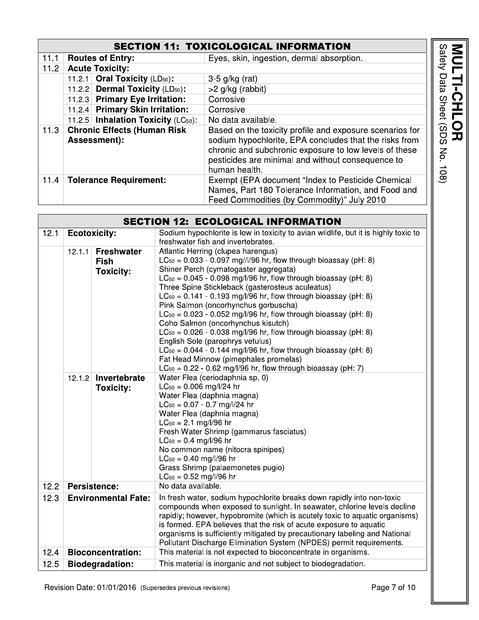#### **SECTION 11: TOXICOLOGICAL INFORMATION**

|                                                            |                                             | <b>SECTION 11: TOXICOLOGICAL INFORMATION</b>                                                                                                                                                                                                       |                                                    |
|------------------------------------------------------------|---------------------------------------------|----------------------------------------------------------------------------------------------------------------------------------------------------------------------------------------------------------------------------------------------------|----------------------------------------------------|
| 11.1                                                       | <b>Routes of Entry:</b>                     | Eyes, skin, ingestion, dermal absorption.                                                                                                                                                                                                          | afety                                              |
| 11.2                                                       | <b>Acute Toxicity:</b>                      |                                                                                                                                                                                                                                                    |                                                    |
|                                                            | 11.2.1 Oral Toxicity (LD <sub>50</sub> ):   | $3-5$ g/kg (rat)                                                                                                                                                                                                                                   |                                                    |
|                                                            | 11.2.2 Dermal Toxicity (LD <sub>50</sub> ): | $>2$ g/kg (rabbit)                                                                                                                                                                                                                                 |                                                    |
|                                                            | 11.2.3 Primary Eye Irritation:              | Corrosive                                                                                                                                                                                                                                          |                                                    |
|                                                            | 11.2.4 Primary Skin Irritation:             | Corrosive                                                                                                                                                                                                                                          |                                                    |
|                                                            | 11.2.5 Inhalation Toxicity $(LC_{50})$ :    | No data available.                                                                                                                                                                                                                                 |                                                    |
| <b>Chronic Effects (Human Risk</b><br>11.3<br>Assessment): |                                             | Based on the toxicity profile and exposure scenarios for<br>sodium hypochlorite, EPA concludes that the risks from<br>chronic and subchronic exposure to low levels of these<br>pesticides are minimal and without consequence to<br>human health. | SDS)<br>刀<br>$\mathsf{g}% _{T}$<br>$\frac{108}{2}$ |
| 11.4                                                       | <b>Tolerance Requirement:</b>               | Exempt (EPA document "Index to Pesticide Chemical<br>Names, Part 180 Tolerance Information, and Food and<br>Feed Commodities (by Commodity)" July 2010                                                                                             |                                                    |

| <b>SECTION 12: ECOLOGICAL INFORMATION</b>                              |                        |                                                      |                                                                                                                                                                                                                                                                                                                                                                                                                                                                                                                                                                                                                                                                                                                                                                                                            |  |
|------------------------------------------------------------------------|------------------------|------------------------------------------------------|------------------------------------------------------------------------------------------------------------------------------------------------------------------------------------------------------------------------------------------------------------------------------------------------------------------------------------------------------------------------------------------------------------------------------------------------------------------------------------------------------------------------------------------------------------------------------------------------------------------------------------------------------------------------------------------------------------------------------------------------------------------------------------------------------------|--|
| 12.1                                                                   | <b>Ecotoxicity:</b>    |                                                      | Sodium hypochlorite is low in toxicity to avian wildlife, but it is highly toxic to<br>freshwater fish and invertebrates.                                                                                                                                                                                                                                                                                                                                                                                                                                                                                                                                                                                                                                                                                  |  |
|                                                                        | 12.1.1                 | <b>Freshwater</b><br><b>Fish</b><br><b>Toxicity:</b> | Atlantic Herring (clupea harengus)<br>$LC_{50} = 0.033 - 0.097$ mg//l/96 hr, flow through bioassay (pH: 8)<br>Shiner Perch (cymatogaster aggregata)<br>$LC_{50} = 0.045 - 0.098$ mg/l/96 hr, flow through bioassay (pH: 8)<br>Three Spine Stickleback (gasterosteus aculeatus)<br>$LC_{50} = 0.141 - 0.193$ mg/l/96 hr, flow through bioassay (pH: 8)<br>Pink Salmon (oncorhynchus gorbuscha)<br>$LC_{50} = 0.023 - 0.052$ mg/l/96 hr, flow through bioassay (pH: 8)<br>Coho Salmon (oncorhynchus kisutch)<br>$LC_{50} = 0.026 - 0.038$ mg/l/96 hr, flow through bioassay (pH: 8)<br>English Sole (parophrys vetulus)<br>$LC_{50} = 0.044 - 0.144$ mg/l/96 hr, flow through bioassay (pH: 8)<br>Fat Head Minnow (pimephales promelas)<br>$LC_{50}$ = 0.22 - 0.62 mg/l/96 hr, flow through bioassay (pH: 7) |  |
|                                                                        | 12.1.2                 | Invertebrate<br><b>Toxicity:</b>                     | Water Flea (ceriodaphnia sp. 0)<br>$LC_{50} = 0.006$ mg/l/24 hr<br>Water Flea (daphnia magna)<br>$LC_{50} = 0.07 - 0.7$ mg/l/24 hr<br>Water Flea (daphnia magna)<br>$LC_{50} = 2.1$ mg/l/96 hr<br>Fresh Water Shrimp (gammarus fasciatus)<br>$LC_{50} = 0.4$ mg/l/96 hr<br>No common name (nitocra spinipes)<br>$LC_{50} = 0.40$ mg/l/96 hr<br>Grass Shrimp (palaemonetes pugio)<br>$LC_{50} = 0.52$ mg/l/96 hr                                                                                                                                                                                                                                                                                                                                                                                            |  |
| 12.2                                                                   | <b>Persistence:</b>    |                                                      | No data available.                                                                                                                                                                                                                                                                                                                                                                                                                                                                                                                                                                                                                                                                                                                                                                                         |  |
| 12.3<br><b>Environmental Fate:</b><br>12.4<br><b>Bioconcentration:</b> |                        |                                                      | In fresh water, sodium hypochlorite breaks down rapidly into non-toxic<br>compounds when exposed to sunlight. In seawater, chlorine levels decline<br>rapidly; however, hypobromite (which is acutely toxic to aquatic organisms)<br>is formed. EPA believes that the risk of acute exposure to aquatic<br>organisms is sufficiently mitigated by precautionary labeling and National<br>Pollutant Discharge Elimination System (NPDES) permit requirements.<br>This material is not expected to bioconcentrate in organisms.                                                                                                                                                                                                                                                                              |  |
| 12.5                                                                   | <b>Biodegradation:</b> |                                                      | This material is inorganic and not subject to biodegradation.                                                                                                                                                                                                                                                                                                                                                                                                                                                                                                                                                                                                                                                                                                                                              |  |
|                                                                        |                        |                                                      |                                                                                                                                                                                                                                                                                                                                                                                                                                                                                                                                                                                                                                                                                                                                                                                                            |  |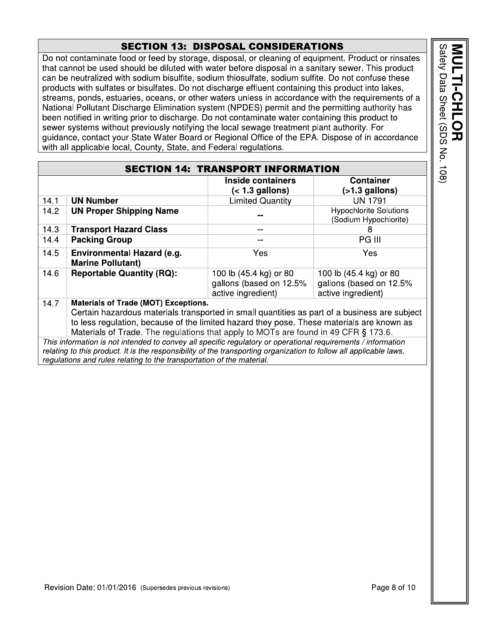## **SECTION 13: DISPOSAL CONSIDERATIONS**

Do not contaminate food or feed by storage, disposal, or cleaning of equipment. Product or rinsates that cannot be used should be diluted with water before disposal in a sanitary sewer. This product can be neutralized with sodium bisulfite, sodium thiosulfate, sodium sulfite. Do not confuse these products with sulfates or bisulfates. Do not discharge effluent containing this product into lakes, streams, ponds, estuaries, oceans, or other waters unless in accordance with the requirements of a National Pollutant Discharge Elimination system (NPDES) permit and the permitting authority has been notified in writing prior to discharge. Do not contaminate water containing this product to sewer systems without previously notifying the local sewage treatment plant authority. For guidance, contact your State Water Board or Regional Office of the EPA. Dispose of in accordance with all applicable local, County, State, and Federal regulations.

|      |                                                                                                                                                                                                                                                                                                                                  | <b>SECTION 14: TRANSPORT INFORMATION</b>                                |                                                                         |
|------|----------------------------------------------------------------------------------------------------------------------------------------------------------------------------------------------------------------------------------------------------------------------------------------------------------------------------------|-------------------------------------------------------------------------|-------------------------------------------------------------------------|
|      |                                                                                                                                                                                                                                                                                                                                  | Inside containers<br>$(1.3 gallons)$                                    | <b>Container</b><br>$($ >1.3 gallons)                                   |
| 14.1 | <b>UN Number</b>                                                                                                                                                                                                                                                                                                                 | <b>Limited Quantity</b>                                                 | <b>UN 1791</b>                                                          |
| 14.2 | <b>UN Proper Shipping Name</b>                                                                                                                                                                                                                                                                                                   |                                                                         | <b>Hypochlorite Solutions</b><br>(Sodium Hypochlorite)                  |
| 14.3 | <b>Transport Hazard Class</b>                                                                                                                                                                                                                                                                                                    |                                                                         | 8                                                                       |
| 14.4 | <b>Packing Group</b>                                                                                                                                                                                                                                                                                                             |                                                                         | <b>PG III</b>                                                           |
| 14.5 | Environmental Hazard (e.g.<br><b>Marine Pollutant)</b>                                                                                                                                                                                                                                                                           | Yes                                                                     | Yes                                                                     |
| 14.6 | <b>Reportable Quantity (RQ):</b>                                                                                                                                                                                                                                                                                                 | 100 lb (45.4 kg) or 80<br>gallons (based on 12.5%<br>active ingredient) | 100 lb (45.4 kg) or 80<br>gallons (based on 12.5%<br>active ingredient) |
| 14.7 | <b>Materials of Trade (MOT) Exceptions.</b><br>Certain hazardous materials transported in small quantities as part of a business are subject<br>to less regulation, because of the limited hazard they pose. These materials are known as<br>Materials of Trade. The regulations that apply to MOTs are found in 49 CFR § 173.6. |                                                                         |                                                                         |
|      | This information is not intended to convey all specific regulatory or operational requirements / information<br>relating to this product. It is the responsibility of the transporting organization to follow all applicable laws,<br>regulations and rules relating to the transportation of the material.                      |                                                                         |                                                                         |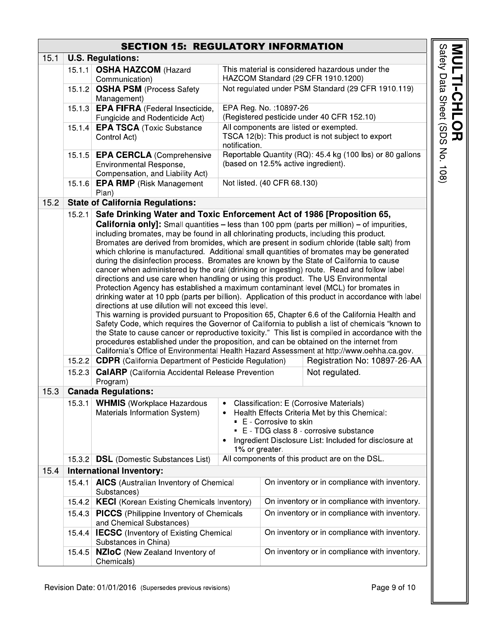## **SECTION 15: REGULATORY INFORMATION**

| 15.1 |        | <b>U.S. Regulations:</b>                                                                                                                                                                                                                                                                                                                                                                                                                                                                                                                                                                                                                                                                                                                                                                                                                                                                                                                                                                                                                                                                                                                                                                                                                                                                                                                                                                                                                                                                                                                                         |                     |                                               |                                                                                                                                                                                             |
|------|--------|------------------------------------------------------------------------------------------------------------------------------------------------------------------------------------------------------------------------------------------------------------------------------------------------------------------------------------------------------------------------------------------------------------------------------------------------------------------------------------------------------------------------------------------------------------------------------------------------------------------------------------------------------------------------------------------------------------------------------------------------------------------------------------------------------------------------------------------------------------------------------------------------------------------------------------------------------------------------------------------------------------------------------------------------------------------------------------------------------------------------------------------------------------------------------------------------------------------------------------------------------------------------------------------------------------------------------------------------------------------------------------------------------------------------------------------------------------------------------------------------------------------------------------------------------------------|---------------------|-----------------------------------------------|---------------------------------------------------------------------------------------------------------------------------------------------------------------------------------------------|
|      | 15.1.1 | <b>OSHA HAZCOM (Hazard</b>                                                                                                                                                                                                                                                                                                                                                                                                                                                                                                                                                                                                                                                                                                                                                                                                                                                                                                                                                                                                                                                                                                                                                                                                                                                                                                                                                                                                                                                                                                                                       |                     |                                               | This material is considered hazardous under the                                                                                                                                             |
|      |        | Communication)                                                                                                                                                                                                                                                                                                                                                                                                                                                                                                                                                                                                                                                                                                                                                                                                                                                                                                                                                                                                                                                                                                                                                                                                                                                                                                                                                                                                                                                                                                                                                   |                     |                                               | HAZCOM Standard (29 CFR 1910.1200)                                                                                                                                                          |
|      |        | 15.1.2 OSHA PSM (Process Safety<br>Management)                                                                                                                                                                                                                                                                                                                                                                                                                                                                                                                                                                                                                                                                                                                                                                                                                                                                                                                                                                                                                                                                                                                                                                                                                                                                                                                                                                                                                                                                                                                   |                     |                                               | Not regulated under PSM Standard (29 CFR 1910.119)                                                                                                                                          |
|      |        | 15.1.3 <b>EPA FIFRA</b> (Federal Insecticide,                                                                                                                                                                                                                                                                                                                                                                                                                                                                                                                                                                                                                                                                                                                                                                                                                                                                                                                                                                                                                                                                                                                                                                                                                                                                                                                                                                                                                                                                                                                    |                     | EPA Reg. No. : 10897-26                       |                                                                                                                                                                                             |
|      |        | Fungicide and Rodenticide Act)                                                                                                                                                                                                                                                                                                                                                                                                                                                                                                                                                                                                                                                                                                                                                                                                                                                                                                                                                                                                                                                                                                                                                                                                                                                                                                                                                                                                                                                                                                                                   |                     |                                               | (Registered pesticide under 40 CFR 152.10)                                                                                                                                                  |
|      |        | 15.1.4 EPA TSCA (Toxic Substance<br>Control Act)                                                                                                                                                                                                                                                                                                                                                                                                                                                                                                                                                                                                                                                                                                                                                                                                                                                                                                                                                                                                                                                                                                                                                                                                                                                                                                                                                                                                                                                                                                                 | notification.       |                                               | All components are listed or exempted.<br>TSCA 12(b): This product is not subject to export                                                                                                 |
|      |        | 15.1.5 <b>EPA CERCLA</b> (Comprehensive<br>Environmental Response,<br>Compensation, and Liability Act)                                                                                                                                                                                                                                                                                                                                                                                                                                                                                                                                                                                                                                                                                                                                                                                                                                                                                                                                                                                                                                                                                                                                                                                                                                                                                                                                                                                                                                                           |                     |                                               | Reportable Quantity (RQ): 45.4 kg (100 lbs) or 80 gallons<br>(based on 12.5% active ingredient).                                                                                            |
|      |        | 15.1.6 <b>EPA RMP</b> (Risk Management<br>Plan)                                                                                                                                                                                                                                                                                                                                                                                                                                                                                                                                                                                                                                                                                                                                                                                                                                                                                                                                                                                                                                                                                                                                                                                                                                                                                                                                                                                                                                                                                                                  |                     | Not listed. (40 CFR 68.130)                   |                                                                                                                                                                                             |
| 15.2 |        | <b>State of California Regulations:</b>                                                                                                                                                                                                                                                                                                                                                                                                                                                                                                                                                                                                                                                                                                                                                                                                                                                                                                                                                                                                                                                                                                                                                                                                                                                                                                                                                                                                                                                                                                                          |                     |                                               |                                                                                                                                                                                             |
|      | 15.2.1 | Safe Drinking Water and Toxic Enforcement Act of 1986 [Proposition 65,                                                                                                                                                                                                                                                                                                                                                                                                                                                                                                                                                                                                                                                                                                                                                                                                                                                                                                                                                                                                                                                                                                                                                                                                                                                                                                                                                                                                                                                                                           |                     |                                               |                                                                                                                                                                                             |
|      | 15.2.3 | <b>California only]:</b> Small quantities – less than 100 ppm (parts per million) – of impurities,<br>including bromates, may be found in all chlorinating products, including this product.<br>Bromates are derived from bromides, which are present in sodium chloride (table salt) from<br>which chlorine is manufactured. Additional small quantities of bromates may be generated<br>during the disinfection process. Bromates are known by the State of California to cause<br>cancer when administered by the oral (drinking or ingesting) route. Read and follow label<br>directions and use care when handling or using this product. The US Environmental<br>Protection Agency has established a maximum contaminant level (MCL) for bromates in<br>drinking water at 10 ppb (parts per billion). Application of this product in accordance with label<br>directions at use dilution will not exceed this level.<br>This warning is provided pursuant to Proposition 65, Chapter 6.6 of the California Health and<br>Safety Code, which requires the Governor of California to publish a list of chemicals "known to<br>the State to cause cancer or reproductive toxicity." This list is compiled in accordance with the<br>procedures established under the proposition, and can be obtained on the internet from<br>California's Office of Environmental Health Hazard Assessment at http://www.oehha.ca.gov.<br>15.2.2 CDPR (California Department of Pesticide Regulation)<br><b>CalARP</b> (California Accidental Release Prevention<br>Program) |                     |                                               | Registration No: 10897-26-AA<br>Not regulated.                                                                                                                                              |
| 15.3 |        | <b>Canada Regulations:</b>                                                                                                                                                                                                                                                                                                                                                                                                                                                                                                                                                                                                                                                                                                                                                                                                                                                                                                                                                                                                                                                                                                                                                                                                                                                                                                                                                                                                                                                                                                                                       |                     |                                               |                                                                                                                                                                                             |
|      | 15.3.1 | <b>WHMIS</b> (Workplace Hazardous<br>Materials Information System)                                                                                                                                                                                                                                                                                                                                                                                                                                                                                                                                                                                                                                                                                                                                                                                                                                                                                                                                                                                                                                                                                                                                                                                                                                                                                                                                                                                                                                                                                               | ٠<br>1% or greater. | E - Corrosive to skin                         | Classification: E (Corrosive Materials)<br>Health Effects Criteria Met by this Chemical:<br>E - TDG class 8 - corrosive substance<br>Ingredient Disclosure List: Included for disclosure at |
|      | 15.3.2 | <b>DSL</b> (Domestic Substances List)                                                                                                                                                                                                                                                                                                                                                                                                                                                                                                                                                                                                                                                                                                                                                                                                                                                                                                                                                                                                                                                                                                                                                                                                                                                                                                                                                                                                                                                                                                                            |                     |                                               | All components of this product are on the DSL.                                                                                                                                              |
| 15.4 |        | <b>International Inventory:</b>                                                                                                                                                                                                                                                                                                                                                                                                                                                                                                                                                                                                                                                                                                                                                                                                                                                                                                                                                                                                                                                                                                                                                                                                                                                                                                                                                                                                                                                                                                                                  |                     |                                               |                                                                                                                                                                                             |
|      | 15.4.1 | <b>AICS</b> (Australian Inventory of Chemical<br>Substances)                                                                                                                                                                                                                                                                                                                                                                                                                                                                                                                                                                                                                                                                                                                                                                                                                                                                                                                                                                                                                                                                                                                                                                                                                                                                                                                                                                                                                                                                                                     |                     | On inventory or in compliance with inventory. |                                                                                                                                                                                             |
|      | 15.4.2 | <b>KECI</b> (Korean Existing Chemicals Inventory)                                                                                                                                                                                                                                                                                                                                                                                                                                                                                                                                                                                                                                                                                                                                                                                                                                                                                                                                                                                                                                                                                                                                                                                                                                                                                                                                                                                                                                                                                                                |                     |                                               | On inventory or in compliance with inventory.                                                                                                                                               |
|      | 15.4.3 | <b>PICCS</b> (Philippine Inventory of Chemicals<br>and Chemical Substances)                                                                                                                                                                                                                                                                                                                                                                                                                                                                                                                                                                                                                                                                                                                                                                                                                                                                                                                                                                                                                                                                                                                                                                                                                                                                                                                                                                                                                                                                                      |                     |                                               | On inventory or in compliance with inventory.                                                                                                                                               |
|      | 15.4.4 | <b>IECSC</b> (Inventory of Existing Chemical<br>Substances in China)                                                                                                                                                                                                                                                                                                                                                                                                                                                                                                                                                                                                                                                                                                                                                                                                                                                                                                                                                                                                                                                                                                                                                                                                                                                                                                                                                                                                                                                                                             |                     |                                               | On inventory or in compliance with inventory.                                                                                                                                               |
|      | 15.4.5 | <b>NZIoC</b> (New Zealand Inventory of<br>Chemicals)                                                                                                                                                                                                                                                                                                                                                                                                                                                                                                                                                                                                                                                                                                                                                                                                                                                                                                                                                                                                                                                                                                                                                                                                                                                                                                                                                                                                                                                                                                             |                     |                                               | On inventory or in compliance with inventory.                                                                                                                                               |

**MULTI-CHLOR**<br>Safety Data Sheet (SDS No. 108)